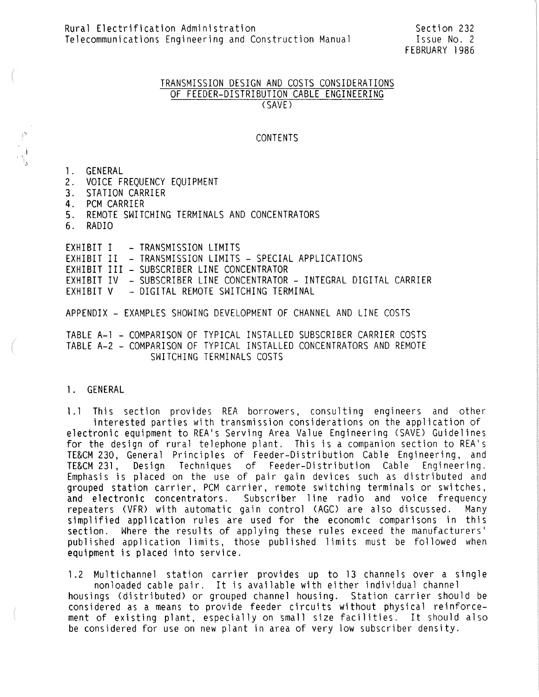#### TRANSMISSION DESIGN AND COSTS CONSIDERATIONS OF FEEDER-DISTRIBUTION CABLE ENGINEERING (SAVE)

#### CONTENTS

#### 1. GENERAL

- 2. VOICE FREQUENCY EQUIPMENT
- 3. STATION CARRIER
- 4. PCM CARRIER
- 5. REMOTE SWITCHING TERMINALS AND CONCENTRATORS
- 6. RADIO

EXHIBIT I – TRANSMISSION LIMITS EXHIBIT II – TRANSMISSION LIMITS – SPECIAL APPLICATIONS EXHIBIT III – SUBSCRIBER LINE CONCENTRATOR EXHIBIT IV - SUBSCRIBER LINE CONCENTRATOR - INTEGRAL DIGITAL CARRIER EXHIBIT V - DIGITAL REMOTE SWITCHING TERMINAL

APPENDIX - EXAMPLES SHOWING DEVELOPMENT OF CHANNEL AND LINE COSTS

TABLE A-1 - COMPARISON OF TYPICAL INSTALLED SUBSCRIBER CARRIER COSTS TABLE A-2 - COMPARISON OF TYPICAL INSTALLED CONCENTRATORS AND REMOTE SWITCHING TERMINALS COSTS

#### l. GENERAL

1.1 This section provides REA borrowers, consulting engineers and other interested parties with transmission considerations on the application of electronic equipment to REA's Serving Area Value Engineering <SAVE) Guidelines for the design of rural telephone plant. This is a companion section to REA's TE&CM 230, General Principles of Feeder-Distribution Cable Engineering, and Design Techniques of Feeder-Distribution Cable Engineering. Emphasis is placed on the use of pair gain devices such as distributed and grouped station carrier, PCM carrier, remote switching terminals or switches, and electronic concentrators. Subscriber line radio and voice frequency repeaters (VFR) with automatic gain control (AGO are also discussed. Many simplified application rules are used for the economic comparisons in this section. Where the results of applying these rules exceed the manufacturers' published application limits, those published limits must be followed when equipment is placed into service.

l.2 Multichannel station carrier provides up to 13 channels over a single nonloaded cable pair. It is available with either individual channel housings (distributed) or grouped channel housing. Station carrier should be considered as a means to provide feeder circuits without physical reinforcement of existing plant, especially on small size facilities. It should also be considered for use on new plant in area of very low subscriber density.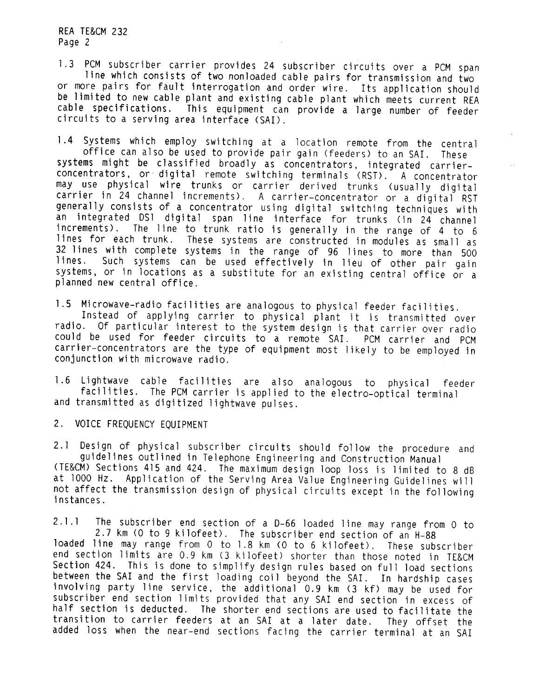1.3 PCM subscriber carrier provides 24 subscriber circuits over a PCM span<br>line which consists of two nonloaded cable pairs for transmission and two<br>or more pairs for fault interrogation and order wire. Its application sho be limited to new cable plant and existing cable plant which meets current REA cable specifications. This equipment can provide a large number of feeder circuits to a serving area interface (SA!).

1.4 Systems which employ switching at a location remote from the central office can also be used to provide pair gain (feeders) to an SA!. These systems might be classified broadly as concentrators, integrated carrier-<br>concentrators, or digital remote switching terminals (RST). A concentrator may use physical wire trunks or carrier derived trunks (usually digital carrier in 24 channel increments). A carrier-concentrator or a digital RST generally consists of a concentrator using digital switching techniques with an integrated DS1 digital span line interface for trunks (in 24 channel<br>increments). The line to trunk ratio is generally in the range of 4 to 6 The line to trunk ratio is generally in the range of 4 to 6 lines for each trunk. These systems are constructed in modules as small as 32 lines with complete systems in the range of 96 lines to more than 500 lines. Such systems can be used effectively in lieu of other pair gain Such systems can be used effectively in lieu of other pair gain systems, or in locations as a substitute for an existing central office or a planned new central office.

l .5 Microwave-radio facilities are analogous to physical feeder facilities. Instead of applying carrier to physical plant it is transmitted over radio. Of particular interest to the system design is that carrier over radio could be used for feeder circuits to a remote SA!. PCM carrier and PCM carrier-concentrators are the type of equipment most likely to be employed in conjunction with microwave radio.

1.6 Lightwave cable facilities are also analogous to physical feeder facilities. The PCM carrier is applied to the electro-optical terminal and transmitted as digitized lightwave pulses.

2. VOICE FREQUENCY EQUIPMENT

2.1 Design of physical subscriber circuits should fol low the procedure and guidelines outlined in Telephone Engineering and Construction Manual (TE&CM) Sections 415 and 424. The maximum design loop loss is limited to 8 dB at 1000 Hz. Application of the Serving Area Value Engineering Guidelines will not affect the transmission design of physical circuits except in the following instances.

2.1.1 The subscriber end section of a D-66 loaded line may range from O to 2.7 km (O to 9 kilofeet). The subscriber end section of an H-88 loaded line may range from O to 1.8 km (O to 6 kilofeet). These subscriber end section limits are 0.9 km (3 kilofeet) shorter than those noted in TE&CM Section 424. This is done to simplify design rules based on full load sections between the SAI and the first loading coil beyond the SAI. In hardship cases involving party line service, the additional 0.9 km (3 kf) may be used for subscriber end section limits provided that any SAI end section in excess of half section is deducted. The shorter end sections are used to facilitate the transition to carrier feeders at an SAI at a later date. They offset the added loss when the near-end sections facing the carrier terminal at an SAI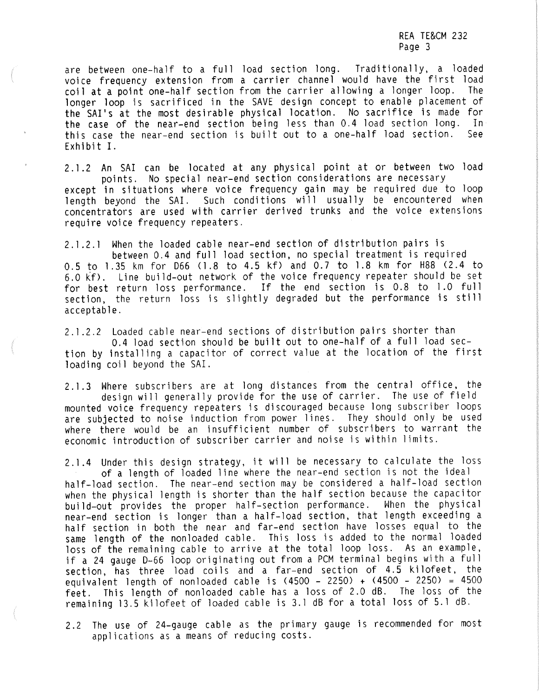are between one-half to a full load section long. Traditionally, a loaded voice frequency extension from a carrier channel would have the first load<br>coil at a noint-one-half-section from the carrier allowing a longer loop. The coil at a point one-half section from the carrier allowing a longer loop. longer loop is sacrificed in the SAVE design concept to enable placement of the SAI's at the most desirable physical location. No sacrifice is made for the case of the near-end section being less than 0.4 load section long. In this case the near-end section is built out to a one-half load section. See Exhibit I.

2.1.2 An SA! can be located at any physical point at or between two load points. No special near-end section considerations are necessary except in situations where voice frequency gain may be required due to loop

length beyond the SAI. Such conditions will usually be encountered when concentrators are used with carrier derived trunks and the voice extensions require voice frequency repeaters.

2. l .2. l When the loaded cable near-end section of distribution pairs is between 0.4 and full load section, no special treatment is required 0.5 to 1.35 km for D66 (1.8 to 4.5 kf) and 0.7 to 1.8 km for H88 (2.4 to 6.0 kf). Line build-out network of the voice frequency repeater should be set for best return loss performance. If the end section is 0.8 to 1.0 full section, the return loss is slightly degraded but the performance is still acceptable.

2. l .2.2 Loaded cable near-end sections of distribution pairs shorter than 0.4 load section should be built out to one-half of a full load section by installing a capacitor of correct value at the location of the first loading coil beyond the SAI.

2.1.3 Where subscribers are at long distances from the central office, the design will generally provide for the use of carrier. The use of field mounted voice frequency repeaters is discouraged because long subscriber loops are subjected to noise induction from power lines. They should only be used where there would be an insufficient number of subscribers to warrant the economic introduction of subscriber carrier and noise is within limits.

2.1.4 Under this design strategy, it will be necessary to calculate the loss of a length of loaded line where the near-end section is not the ideal<br>half-load section. The near-end section may be considered a half-load sect when the physical length is shorter than the half section because the capacitor build-out provides the proper half-section performance. When the physical near-end section is longer than a half-load section, that length exceeding a half section in both the near and far-end section have losses equal to the same length of the nonloaded cable. This loss is added to the normal loaded loss of the remaining cable to arrive at the total loop loss. As an example, if a 24 gauge D-66 loop originating out from a PCM terminal begins with a full section, has three load coils and a far-end section of 4.5 kilofeet, the equivalent length of nonloaded cable is  $(4500 - 2250) + (4500 - 2250) = 4500$ feet. This length of nonloaded cable has a loss of 2.0 dB. The loss of the remaining 13.5 kilofeet of loaded cable is 3. l dB for a total loss of 5. l dB.

2. 2 The use of 24-gauge cable as the primary gauge is recommended for most applications as a means of reducing costs.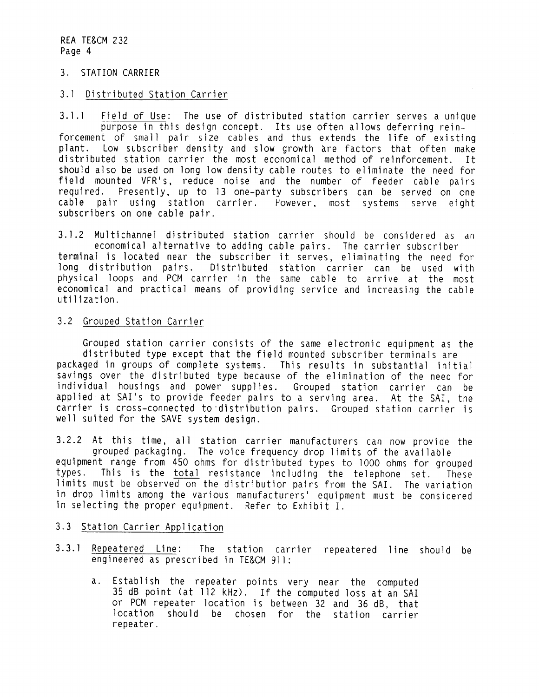#### 3. STATION CARRIER

#### 3. 1 Distributed Station Carrier

3.1.1 Field of Use: The use of distributed station carrier serves a unique purpose in this design concept. Its use often allows deferring rein-<br>forcement of small pair size cables and thus extends the life of existing<br>plan Low subscriber density and slow growth are factors that often make distributed station carrier the most economical method of reinforcement. It should also be used on long low density cable routes to eliminate the need for field mounted VFR's, reduce noise and the number of feeder cable pairs required. Presently, up to 13 one-party subscribers can be served on one cable pair using station carrier. However, most systems serve eight subscribers on one cable pair.

3. l.2 Multichannel distributed station carrier should be considered as an economical alternative to adding cable pairs. The carrier subscriber<br>terminal is located near the subscriber it serves, eliminating the need for<br>long distribution pairs. Distributed station carrier can be used with Distributed station carrier can be used with physical loops and PCM carrier in the same cable to arrive at the most economical and practical means of providing service and increasing the cable utilization.

#### 3.2 Grouped Station Carrier

Grouped station carrier consists of the same electronic equipment as the packaged in groups of complete systems. This results in substantial initial savings over the distributed type because of the elimination of the need for<br>individual housings and power supplies. Grouped station carrier can be individual housings and power supplies. applied at SAI's to provide feeder pairs to a serving area. At the SAI, the carrier is cross-connected to·distribution pairs. Grouped station carrier is well suited for the SAVE system design.

3.2.2 At this time, all station carrier manufacturers can now provide the grouped packaging. The voice frequency drop limits of the available equipment range from 450 ohms for distributed types to 1000 ohms for grouped This is the total resistance including the telephone set. These limits must be observed on the distribution pairs from the SAI. The variation in drop limits among the various manufacturers' equipment must be considered in selecting the proper equipment. Refer to Exhibit I.

## 3.3 Station Carrier Application

- 3.3.1 Repeatered Line: The station carrier repeatered line should be engineered as prescribed in TE&CM 911:
	- a. Establish the repeater points very near the computed 35 dB point <at 112 kHz). If the computed loss at an SAI or PCM repeater location is between 32 and 36 dB, that location should be chosen for the station carrier repeater.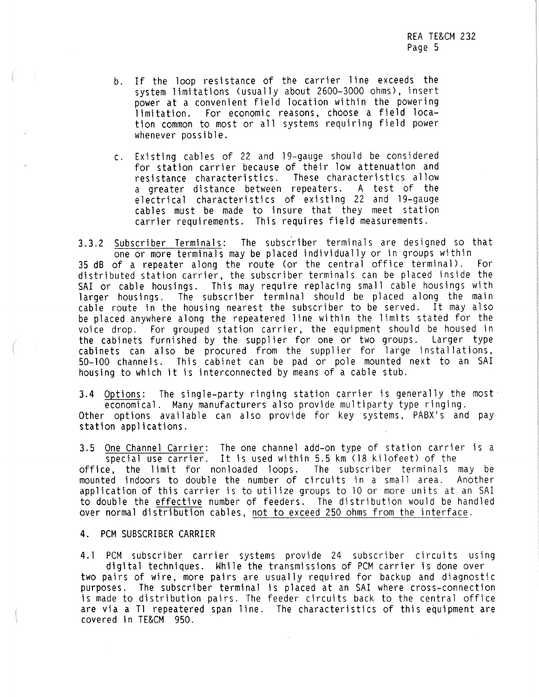- b. If the loop resistance of the carrier line exceeds the system limitations (usually about 2600-3000 ohms), insert power at a convenient field location within the powering limitation. For economic reasons, choose a field location common to most or all systems requiring field power whenever possible.
- c. Existing cables of 22 and 19-gauge should be considered for station carrier because of their low attenuation and resistance characteristics. These characteristics allow a greater distance between repeaters. A test of the electrical characteristics of existing 22 and 19-gauge cables must be made to insure that they meet station carrier requirements. This requires field measurements.

3.3.2 Subscriber Terminals: The subscriber terminals are designed so that one or more terminals may be placed individually or in groups within 35 dB of a repeater along the route (or the central office terminal). For distributed station carrier, the subscriber terminals can be placed inside the SAI or cable housings. This may require replacing small cable housings with larger housings. The subscriber terminal should be placed along the main cable route in the housing nearest the subscriber to be served. It may also be placed anywhere along the repeatered line within the limits stated for the voice drop. For grouped station carrier, the equipment should be housed in the cabinets furnished by the supplier for one or two groups. Larger type cabinets can also be procured from the supplier for large installations, 50-100 channels. This cabinet can be pad or pole mounted next to an SAI housing to which it is interconnected by means of a cable stub.

**3.4** Options: The single-party ringing station carrier is generally the most economical. Many manufacturers also provide multiparty type ringing. Other options available can also provide for key systems, PABX's and pay station applications.

3.5 One Channel Carrier: The one channel add-on type of station carrier is a special use carrier. It is used within 5.5 km (18 kilofeet) of the office, the limit for nonloaded loops. The subscriber terminals may be mounted indoors to double the number of circuits in a small area. Another application of this carrier is to utilize groups to 10 or more units at an SAI to double the effective number of feeders. The distribution would be handled over normal distribution cables, not to exceed 250 ohms from the interface.

4. PCM SUBSCRIBER CARRIER

4.1 PCM subscriber carrier systems provide 24 subscriber circuits using digital techniques. While the transmissions of PCM carrier is done over two pairs of wire, more pairs are usually required for backup and diagnostic purposes. The subscriber terminal is placed at an SAI where cross-connection is made to distribution pairs. The feeder circuits back to the central office are via a Tl repeatered span line. The characteristics of this equipment are covered in TE&CM 950.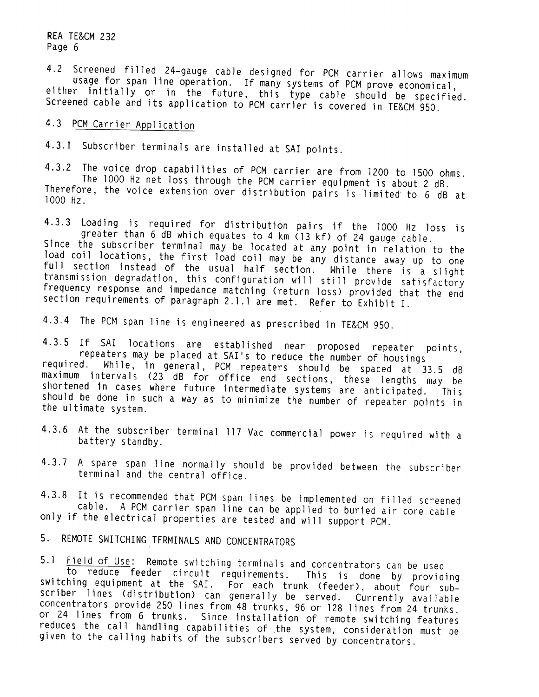4.2 Screened filled 24-gauge cable designed for PCM carrier allows maximum<br>usage for span line operation. If many systems of PCM prove economical,<br>either initially or in the future, this type cable should be specified. Screened cable and its application to PCM carrier is covered in TE&CM 950.

## 4.3 PCM Carrier Application

4.3.1 Subscriber terminals are installed at SAI points.

4.3.2 The voice drop capabilities of PCM carrier are from 1200 to 1500 ohms.<br>The 1000 Hz net loss through the PCM carrier equipment is about 2 dB.<br>Therefore, the voice extension over distribution pairs is limited to 6 dB a 1000 Hz.

4.3.3 Loading is required for distribution pairs if the 1000 Hz loss is greater than 6 dB which equates to 4 km (13 kf) of 24 gauge cable. Since the subscriber terminal may be located at any point in relation to the

load coil locations, the first load coil may be any distance away up to one full section instead of the usual half section. While there is a slight transmission degradation, this configuration will still provide satisfactory frequency response and impedance matching (return loss) provided that the end section requirements of paragraph 2.1.1 are met. Refer to Exhibit I.

4.3.4 The PCM span line is engineered as prescribed in TE&CM 950.

4.3.5 If SAI locations are established near proposed repeater points, repeaters may be placed at SAI's to reduce the number of housings required. While, in general, PCM repeaters should be spaced at 33.5 dB maximum intervals (23 dB for office end sections, these lengths may be<br>shortened in cases where future intermediate systems are anticipated. This shortened in cases where future intermediate systems are anticipated. should be done in such a way as to minimize the number of repeater points in the ultimate system.

- 4.3.6 At the subscriber terminal 117 Vac commercial power is required with a battery standby.
- 4.3.7 A spare span line normally should be provided between the subscriber<br>terminal and the central office.

4.3.8 It is recommended that PCM span lines be implemented on filled screened cable. A PCM carrier span line can be applied to buried air core cable only if the electrical properties are tested and will support PCM.

5. REMOTE SWITCHING TERMINALS AND CONCENTRATORS

5.1 Field of Use: Remote switching terminals and concentrators can be used<br>to reduce feeder circuit requirements. This is done by providing<br>switching equipment at the SAI. For each trunk (feeder), about four subscriber lines (distribution) can generally be served. Currently available concentrators provide 250 lines from 48 trunks, 96 or 128 lines from 24 trunks, or 24 lines from 6 trunks. Since installation of remote switching features reduces the call handling capabilities of the system, consideration must be given to the calling habits of the subscribers served by concentrators.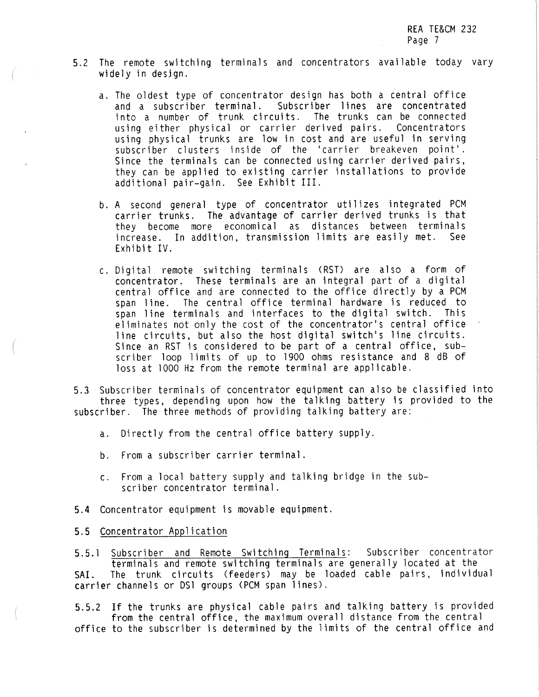- 5. 2 The remote switching terminals and concentrators available today vary widely in desjgn.
	- a. The oldest type of concentrator design has both a central office<br>and a subscriber terminal. Subscriber lines are concentrated and a subscriber terminal. Subscriber lines are concentrated<br>into a number of trunk circuits. The trunks can be connected using either physical or carrier derived pairs. Concentrators using physical trunks are low in cost and are useful in serving subscriber clusters inside of the 'carrier breakeven point'. Since the terminals can be connected using carrier derived pairs, they can be applied to existing carrier installations to provide additional pair-gain. See Exhibit III.
	- b. A second general type of concentrator utilizes integrated PCM carrier trunks. The advantage of carrier derived trunks is that they become more economical as distances between terminals<br>increase, In-addition, transmission limits are-easily-met, See increase. In addition, transmission limits are easily met. Exhibit IV.
	- c. Digital remote switching terminals (RST) are also a form of concentrator. These terminals are an integral part of a digital central office and are connected to the office directly by a PCM span line. The central office terminal hardware is reduced to span line terminals and interfaces to the digital switch. This eliminates not only the cost of the concentrator's central office line circuits, but also the host digital switch's line circuits. Since an RST is considered to be part of a central office, subscriber loop limits of up to 1900 ohms resistance and 8 dB of loss at 1000 Hz from the remote terminal are applicable.

5.3 Subscriber terminals of concentrator equipment can also be classified into three types, depending upon how the talking battery is provided to the subscriber. The three methods of providing talking battery are:

- a. Directly from the central office battery supply.
- b. From a subscriber carrier terminal.
- c. From a local battery supply and talking bridge in the subscriber concentrator terminal.
- **5.4** Concentrator equipment is movable equipment.

#### **5.5** Concentrator Application

5.5.1 Subscriber and Remote Switching Terminals: Subscriber concentrator<br>terminals and remote switching terminals are generally located at the<br>SAI. The trunk circuits (feeders) may be loaded cable pairs, individual carrier channels or DSl groups (PCM span lines).

5.5.2 If the trunks are physical cable pairs and talking battery is provided from the central office, the maximum overall distance from the central office to the subscriber is determined by the limits of the central office and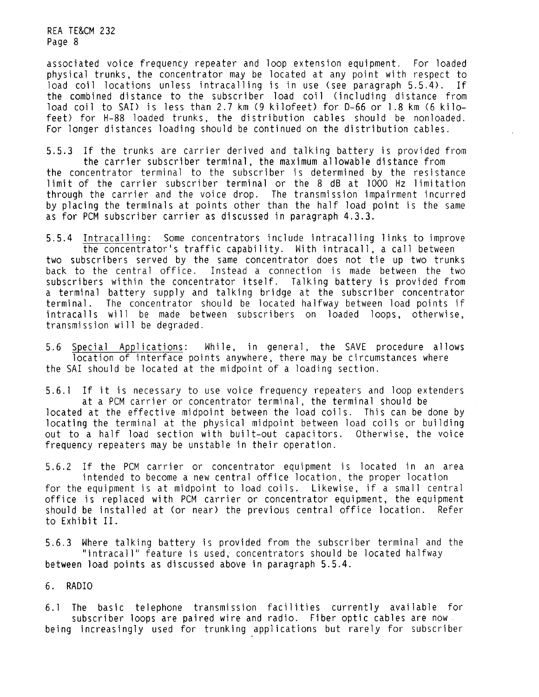associated voice frequency repeater and loop extension equipment. For loaded physical trunks, the concentrator may be located at any point with respect to load coil locations unless intracalling is in use (see paragraph 5.5.4). If the combined distance to the subscriber load coil (including distance from load coil to SAI) is less than 2.7 km (9 kilofeet) for D-66 or 1.8 km (6 kilofeet) for H-88 loaded trunks, the distribution cables should be nonloaded. For longer distances loading should be continued on the distribution cables.

5.5.3 If the trunks are carrier derived and talking battery is provided from the carrier subscriber terminal, the maximum allowable distance from the concentrator terminal to the subscriber is determined by the resistance limit of the carrier subscriber terminal or the 8 dB at 1000 Hz limitation through the carrier and the voice drop. The transmission impairment incurred by placing the terminals at points other than the half load point is the same as for PCM subscriber carrier as discussed in paragraph 4.3.3.

5.5.4 Intracalling: Some concentrators include intracalling links to improve the concentrator's traffic capability. With intracall, a call between two subscribers served by the same concentrator does not tie up two trunks back to the central office. Instead a connection is made between the two subscribers within the concentrator itself. Talking battery is provided from a terminal battery supply and talking bridge at the subscriber concentrator terminal. The concentrator should be located halfway between load points if intracalls will be made between subscribers on loaded loops, otherwise, transmission will be degraded.

5.6 Special Applications: While, in general, the SAVE procedure allows location of interface points anywhere, there may be circumstances where the SA! should be located at the midpoint of a loading section.

5.6. l If it is necessary to use voice frequency repeaters and loop extenders at a PCM carrier or concentrator terminal, the terminal should be located at the effective midpoint between the load coils. This can be done by locating the terminal at the physical midpoint between load coils or building out to a half load section with built-out capacitors. Otherwise, the voice frequency repeaters may be unstable in their operation.

5.6.2 If the PCM carrier or concentrator equipment is located in an area intended to become a new central office location, the proper location for the equipment is at midpoint to load coils. Likewise, if a small central office is replaced with PCM carrier or concentrator equipment, the equipment should be installed at (or near) the previous central office location. Refer to **Exhibit** II.

5.6.3 Where talking battery is provided from the subscriber terminal and the "intracall" feature is used, concentrators should be located halfway between load points as discussed above in paragraph 5.5.4.

**6. RADIO** 

6. 1 The basic telephone transmission facilities currently available for subscriber loops are paired wire and radio. Fiber optic cables are now. being increasingly used for trunking applications but rarely for subscriber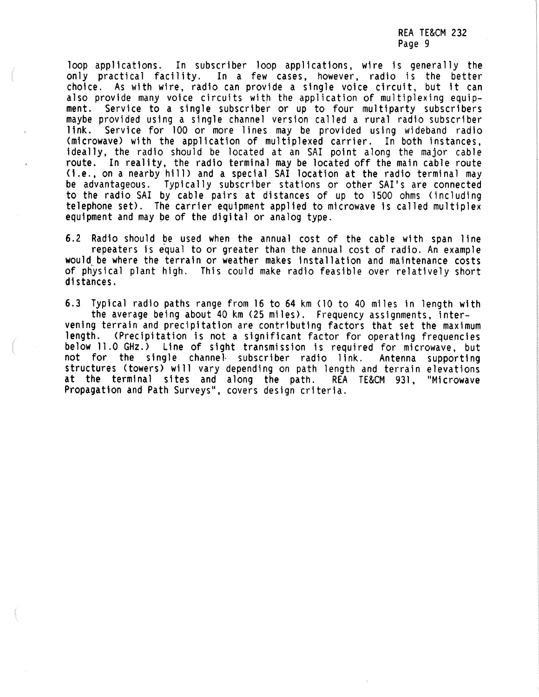loop applications. In subscriber loop applications, wire is generally the only practical facility. In a few cases, however, radio is the better In a few cases, however, radio is the better choice. As with wire, radio can provide a single voice circuit, but it can also provide many voice circuits with the application of multiplexing equip-<br>ment. Service to a single subscriber or up to four multiparty subscribers maybe provided using a single channel version called a rural radio subscriber link. Service for 100 or more lines may be provided using wideband radio (microwave) with the application of multiplexed carrier. In both instances, ideally, the radio should be located at an SAI point along the major cable route. In reality, the radio terminal may be located off the main cable route<br>(i.e., on a nearby hill) and a special SAI location at the radio terminal may be advantageous. Typically subscriber stations or other SAI's are connected to the radio SAI by cable pairs at distances of up to 1500 ohms (including telephone set). The carrier equipment applied to microwave is called multiplex equipment and may pe of the digital or analog type.

6.2 Radio should be used when the annual cost of the cable with span line<br>repeaters is equal to or greater than the annual cost of radio. An example<br>would be where the terrain or weather makes installation and maintenance of physical plant high. This could make radio feasible over relatively short distances.

6.3 Typical radio paths range from 16 to 64 km (10 to 40 miles in length with<br>the average being about 40 km (25 miles). Frequency assignments, inter-<br>vening terrain and precipitation are contributing factors that set the m length. (Precipitation is not a significant factor for operating frequencies **below** 11.0 GHz.> Line of sight transmission is required for microwave, but not for the single channel• subscriber radio link. Antenna supporting structures (towers) will vary depending on path length and terrain elevations<br>at the terminal sites and along the path. REA TE&CM 931, "Microwave at the terminal sites and along the path. REA TE&CM 931, Propagation and Path Surveys", covers design criteria.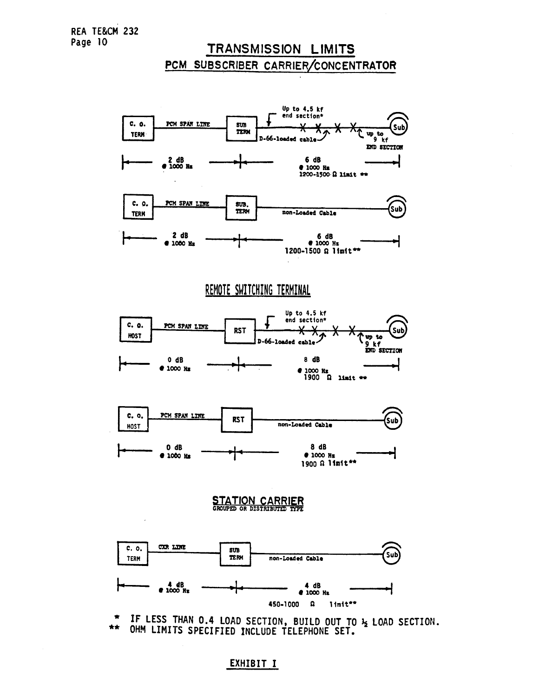## TRANSMISSION LIMITS PCM SUBSCRIBER CARRIER/CONCENTRATOR



• IF LESS THAN 0.4 LOAD SECTION, BUILD OUT TO *½* LOAD SECTION. \*\* OHM LIMITS SPECIFIED INCLUDE TELEPHONE SET.

EXHIBIT I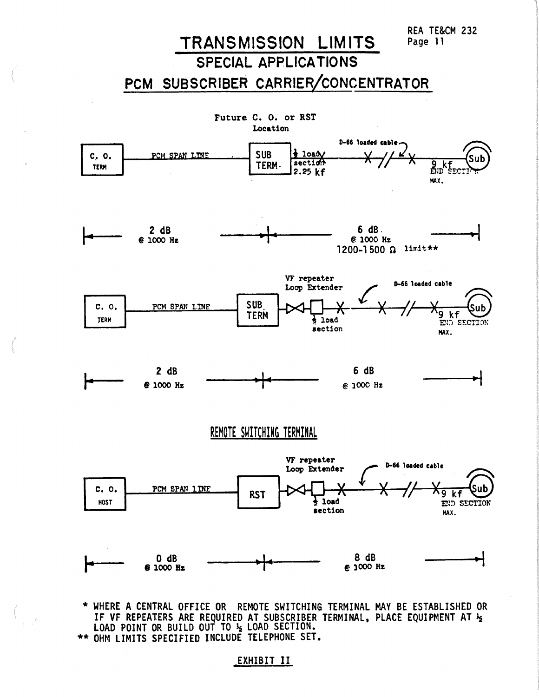# TRANSMISSION LIMITS

SPECIAL APPLICATIONS

PCM SUBSCRIBER CARRIER/CONCENTRATOR



\* WHERE A CENTRAL OFFICE OR REMOTE SWITCHING TERMINAL MAY BE ESTABLISHED OR IF VF REPEATERS ARE REQUIRED AT SUBSCRIBER TERMINAL, PLACE QUIPMENT AT½ LOAD POINT OR BUILD OUT TO½ LOAD SECTION. \*\* OHM LIMITS SPECIFIED INCLUDE TELEPHONE SET.

### EXHIBIT II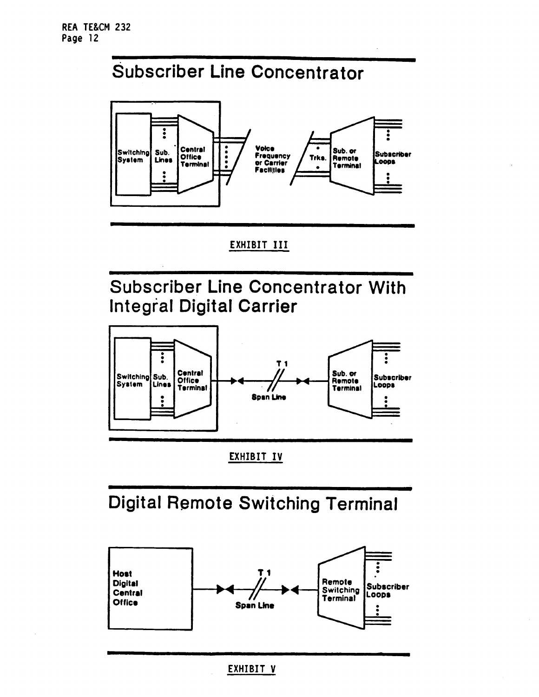# Subscriber Line Concentrator



# EXHIBIT III

Subscriber Line Concentrator With Integral Digital Carrier



EXHIBIT IV

Digital Remote Switching Terminal

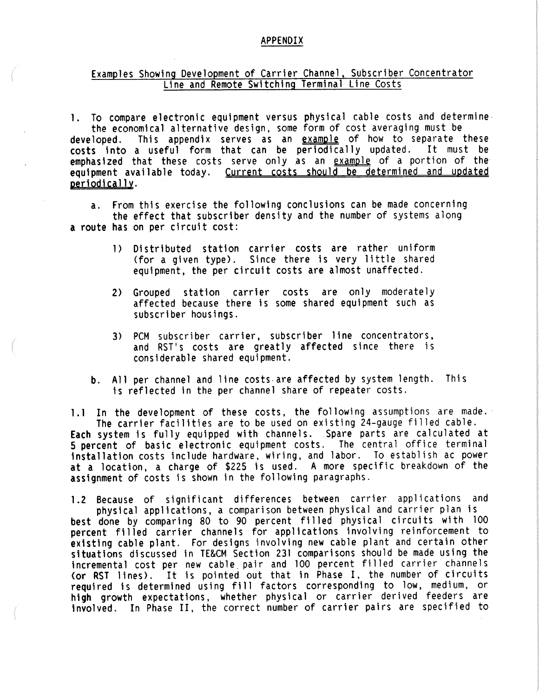#### **APPENDIX**

# Examples Showing Development of Carrier Channel, Subscriber Concentrator Line and Remote Switching Terminal Line Costs

1. To compare electronic equipment versus physical cable costs and determine the economical alternative design, some form of cost averaging must be **developed.** This appendix serves as an example of how to separate these costs into a useful form that can be periodically updated. It must be emphasized that these costs serve only as an example of a portion of the equipment available today. Current costs should be determined and updated periodically.

a. From this exercise the following conclusions can be made concerning the effect that subscriber density and the number of systems along a route has on per circuit cost:

- 1) Distributed station carrier costs are rather uniform (for a given type). Since there is very little shared equipment, the per circuit costs are almost unaffected.
- 2) Grouped station carrier costs are only moderately affected because there is some shared equipment such as subscriber housings.
- 3) PCM subscriber carrier, subscriber line concentrators,<br>and RST's costs are greatly affected since there is considerable shared equipment.
- b. All per channel and line costs.are affected by system length. This is reflected in the per channel share of repeater costs.

1.1 In the development of these costs, the following assumptions are made.<br>The carrier facilities are to be used on existing 24-gauge filled cable.<br>**Each** system is fully equipped with channels. Spare parts are calculated **5 percent of basic electronic equipment costs. The central office terminal** installation costs include hardware, wiring, and labor. To establish ac power at a location, a charge of \$225 is used. A more specific breakdown of the assignment of costs is shown in the following paragraphs.

1.2 Because of significant differences between carrier applications and physical applications, a comparison between physical and carrier plan is **best** done by comparing 80 to 90 percent filled physical circuits with 100 percent filled carrier channels for applications involving reinforcement to existing cable plant. For designs involving new cable plant and certain other situations discussed in TE&CM Section 231 comparisons should be made using the incremental cost per new cable. pair and 100 percent filled carrier channels (or RST lines). It is pointed out that in Phase I, the number of circuits required is determined using fill factors corresponding to low, medium, or high growth expectations, whether physical or carrier derived feeders are involved. In Phase II, the correct number of carrier pairs are specified to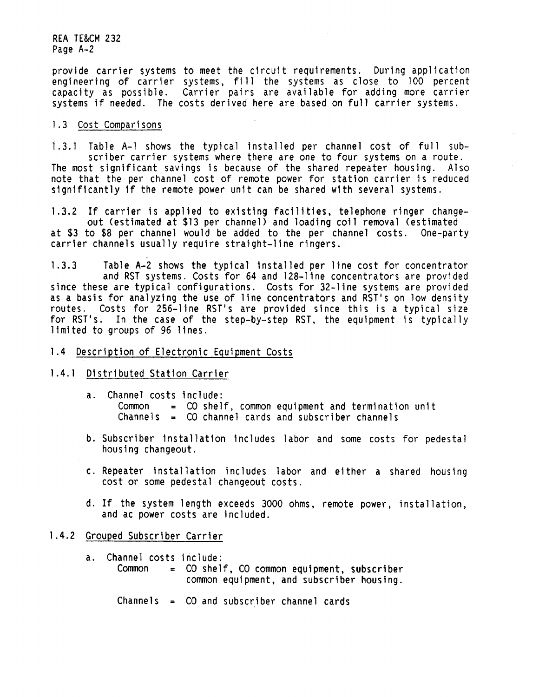provide carrier systems to meet the circuit requirements. During application engineering of carrier systems, fill the systems as close to 100 percent capacity as possible. Carrier pairs are available for adding more carrier systems if needed. The costs derived here are based on full carrier systems.

#### 1 .3 Cost Comparisons

1.3.l Table A-1 shows the typical installed per channel cost of full sub- scriber carrier systems where there are one to four systems on a route. The most significant savings is because of the shared repeater housing. Also note that the per channel cost of remote power for station carrier is reduced significantly if the remote power unit can be shared with several systems.

1.3.2 If carrier is applied to existing facilities, telephone ringer change- out {estimated at \$13 per channel) and loading coil removal {estimated at \$3 to \$8 per channel would be added to the per channel costs. One-party carrier channels usually require straight-line ringers.

1.3.3 Table A-2 shows the typical installed per line cost for concentrator and RST systems. Costs for 64 and 128-line concentrators are provided since these are typical configurations. Costs for 32-line systems are provided as a basis for analyzing the use of line concentrators and RST's on low density routes. Costs for 256-line RST's are provided since this is a typical size for RST's. In the case of the step-by-step RST, the equipment is typically limited to groups of 96 lines.

#### 1.4 Description of Electronic Equipment Costs

- 1.4. 1 Distributed Station Carrier
	- a. Channel costs include:<br>Common = CO shelf, common equipment and termination unit Channels =  $CO$  channel cards and subscriber channels
	- b. Subscriber installation includes labor and some costs for pedestal housing changeout.
	- c. Repeater installation includes labor and either a shared housing cost or some pedestal changeout costs.
	- d. If the system length exceeds 3000 ohms, remote power, installation, and ac power costs are included.

#### 1.4.2 Grouped Subscriber Carrier

- a. Channel costs include:<br>Common = CO shel  $=$  CO shelf, CO common equipment, subscriber common equipment, and subscriber housing.
	- Channels = CO and subscriber channel cards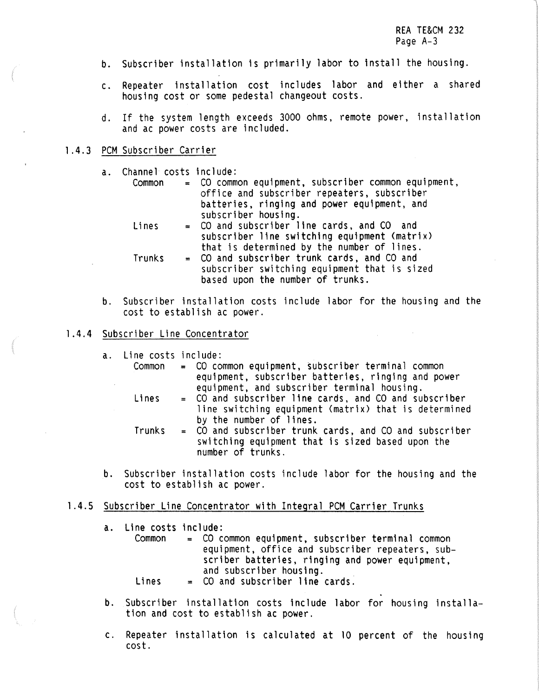- b. Subscriber installation is primarily labor to install the housing.
- c. Repeater installation cost includes labor and either a shared housing cost or some pedestal changeout costs.
- d. If the system length exceeds 3000 ohms, remote power, installation and ac power costs are included.

#### l .4.3 PCM Subscriber Carrier

- a. Channel costs include:
	- Common = CO common equipment, subscriber common equipment, office and subscriber repeaters, subscriber batteries, ringing and power equipment, and
	- $Lines = CO$  and subscriber line cards, and  $CO$  and subscriber line switching equipment (matrix) that is determined by the number of lines.<br>Trunks = CO and subscriber trunk cards, and CO and
	- subscriber switching equipment that is sized based upon the number of trunks.
- b. Subscriber installation costs include labor for the housing and the cost to establish ac power.

#### l **.4.4** Subscriber Line Concentrator

- a. Line costs include:
	- Common = CO common equipment, subscriber terminal common equipment, subscriber batteries, ringing and power<br>equipment, and subscriber terminal housing.  $Lines = CO$  and subscriber line cards, and  $CO$  and subscriber line switching equipment (matrix) that is determined<br>by the number of lines.  $Trunks = CO$  and subscriber trunk cards, and CO and subscriber switching equipment that is sized based upon the
- b. Subscriber installation costs include labor for the housing and the cost to establish ac power.

#### 1.4.5 Subscriber Line Concentrator with Integral PCM Carrier Trunks

number of trunks.

a. Line costs include:<br>Common =  $CO$  co

- = CO common equipment, subscriber terminal common equipment, office and subscriber repeaters, subscriber batteries, ringing and power equipment,<br>and subscriber housing.
- $Lines = CO$  and subscriber line cards.
- b. Subscriber installation costs include labor for housing installa- tion and cost to establish ac power.
- c. Repeater installation is calculated at 10 percent of the housing cost.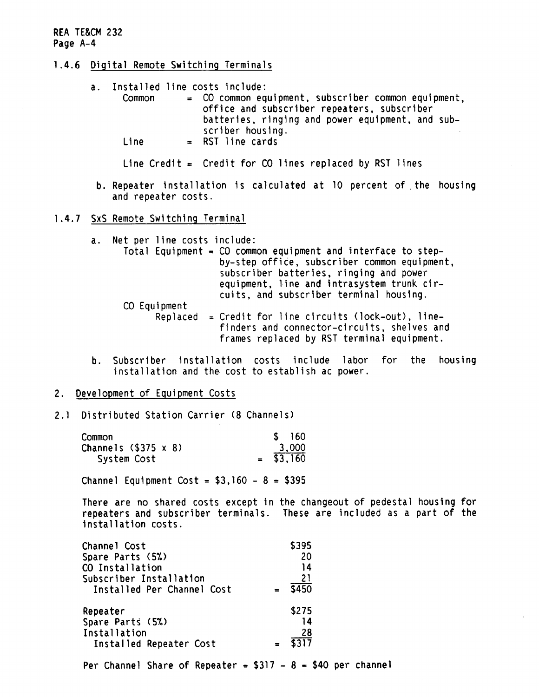- **1.4.6 Digital Remote Switching** Terminals
	- a. Installed line costs include: Common = CO common equipment, subscriber common equipment, office and subscriber **repeaters,** subscriber batteries, ringing and power equipment, and subscriber housing. Line = RST line cards

Line Credit = Credit for CO lines replaced by RST lines

- b. Repeater installation is calculated at 10 percent of. the housing and repeater costs.
- 1.4.7 SxS Remote Switching Terminal
	- a. Net per line costs include:
		- Total Equipment= CO common equipment and interface to step- by-step office, subscriber common equipment, subscriber batteries, ringing and power equipment, line and intrasystem trunk circuits, and subscriber terminal housing.
			- CO Equipment<br>Replaced = Credit for line circuits (lock-out), linefinders and connector-circuits, shelves and frames replaced by RST terminal equipment.
	- b. Subscriber installation costs include labor for the housing installation and the cost to establish ac power.
- 2. Development of Equipment Costs
- 2. 1 Distributed Station Carrier (8 Channels)

| Common               |  |  | 160     |
|----------------------|--|--|---------|
| Channels (\$375 x 8) |  |  | 3,000   |
| System Cost          |  |  | \$3,160 |

Channel Equipment Cost =  $$3,160 - 8 = $395$ 

There are no shared costs except in the changeout of pedestal housing for repeaters and subscriber terminals. These are included as a part of the installation costs.

| Channel Cost               | \$395 |  |
|----------------------------|-------|--|
| Spare Parts (5%)           | 20    |  |
| CO Installation            | 14    |  |
| Subscriber Installation    | 21    |  |
| Installed Per Channel Cost | \$450 |  |
| Repeater                   | \$275 |  |
| Spare Parts (5%)           | 14    |  |
| Installation               | 28    |  |
| Installed Repeater Cost    |       |  |

Per Channel Share of Repeater =  $$317 - 8 = $40$  per channel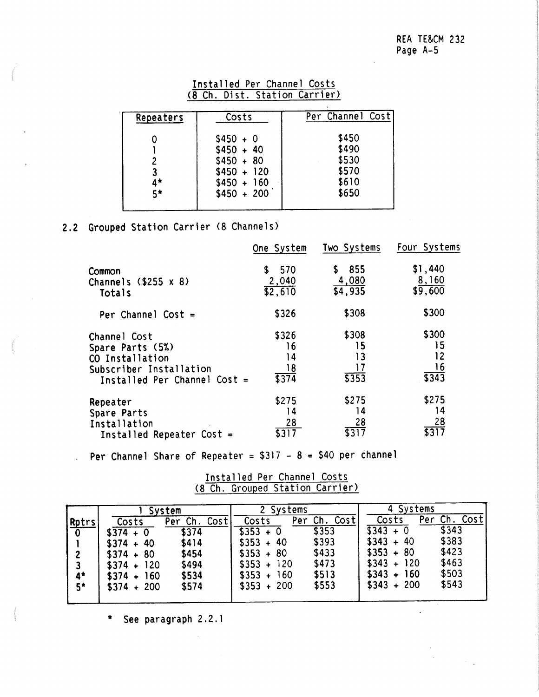|  | Installed Per Channel Costs |                               |
|--|-----------------------------|-------------------------------|
|  |                             | (8 Ch. Dist. Station Carrier) |

| Repeaters   | Costs                        | Per Channel Cost |
|-------------|------------------------------|------------------|
|             | $$450 + 0$<br>$$450 + 40$    | \$450<br>\$490   |
| 2           | $$450 + 80$                  | \$530            |
| $4^{\star}$ | $$450 + 120$<br>$$450 + 160$ | \$570<br>\$610   |
| $5*$        | $$450 + 200$                 | \$650            |

## **2.2**  Grouped Station Carrier (8 Channels)

|                                 | One System            | Two Systems        | Four Systems     |
|---------------------------------|-----------------------|--------------------|------------------|
| Common<br>Channels $($255 x 8)$ | 570<br>S.             | 855<br>S.<br>4,080 | \$1,440<br>8,160 |
| Totals                          | $\frac{2,040}{2,610}$ | $\sqrt{4,935}$     | \$9,600          |
| Per Channel Cost $=$            | \$326                 | \$308              | \$300            |
| Channel Cost                    | \$326                 | \$308              | \$300            |
| Spare Parts (5%)                | 16                    | 15                 | 15               |
| CO Installation                 | 14                    | 13                 | 12               |
| Subscriber Installation         | 18                    | 17                 | 16               |
| Installed Per Channel Cost =    | \$374                 | \$353              | \$343            |
| Repeater                        | \$275                 | \$275              | \$275            |
| Spare Parts                     | 14                    | 14                 | 14               |
| Installation                    | 28                    | 28                 | 28               |
| Installed Repeater Cost $=$     | \$317                 | \$317              | $\sqrt{317}$     |

Per Channel Share of Repeater =  $$317 - 8 = $40$  per channel

Installed Per Channel Costs (8 Ch. Grouped Station Carrier)

|                |              | System             |              | 2 Systems    |              | 4 Systems |       |      |
|----------------|--------------|--------------------|--------------|--------------|--------------|-----------|-------|------|
|                | Costs        | Cost<br>Ch.<br>Per | Costs        | Per Ch. Cost | Costs        | Per       | Ch.   | Cost |
| $Rptrs$<br>0   | $$374 + 0$   | \$374              | $$353 + 0$   | \$353        | $$343 + 0$   |           | \$343 |      |
|                | $$374 + 40$  | \$414              | $$353 + 40$  | \$393        | $$343 + 40$  |           | \$383 |      |
| $\overline{2}$ | $$374 + 80$  | \$454              | $$353 + 80$  | \$433        | $$353 + 80$  |           | \$423 |      |
| 3              | $$374 + 120$ | \$494              | $$353 + 120$ | \$473        | $$343 + 120$ |           | \$463 |      |
| $4*$           | $$374 + 160$ | \$534              | $$353 + 160$ | \$513        | $$343 + 160$ |           | \$503 |      |
| $5*$           | $$374 + 200$ | \$574              | $$353 + 200$ | \$553        | $$343 + 200$ |           | \$543 |      |
|                |              |                    |              |              |              |           |       |      |

• See paragraph 2.2.1

 $\mathcal{L}$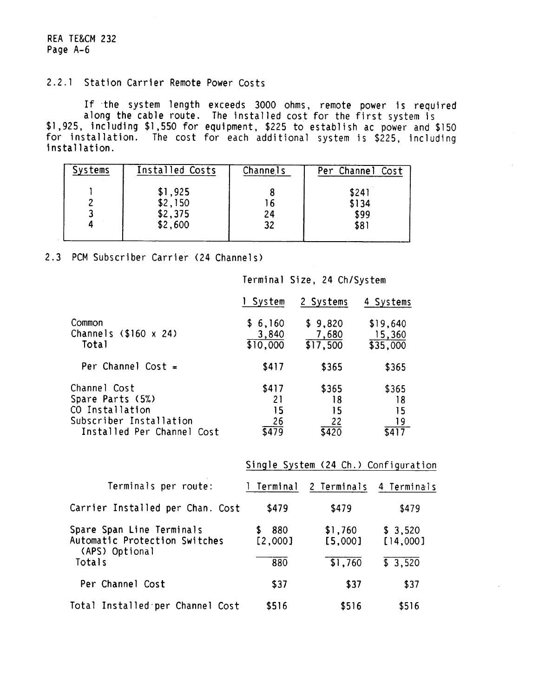## 2.2. 1 Station Carrier Remote Power Costs

If the system length exceeds 3000 ohms, remote power is required along the cable route. The installed cost for the first system is \$1,925, including \$1,550 for equipment, \$225 to establish ac power and \$150 for installation. The cost for each additional system is \$225, including installation.

| <b>Systems</b> | Installed Costs | Channels | Per Channel Cost |
|----------------|-----------------|----------|------------------|
|                | \$1,925         |          | \$241            |
|                | \$2,150         | 16       | \$134            |
|                | \$2,375         | 24       | \$99             |
|                | \$2,600         | 32       | \$81             |
|                |                 |          |                  |

### 2.3 PCM Subscriber Carrier (24 Channels)

|                                                                                                              | 1 System                         | 2 Systems                        | 4 Systems                      |
|--------------------------------------------------------------------------------------------------------------|----------------------------------|----------------------------------|--------------------------------|
| Common<br>Channels $$160 \times 24$<br>Total                                                                 | \$6,160<br>3,840<br>\$10,000     | \$9,820<br>7,680<br>\$17,500     | \$19,640<br>15,360<br>\$35,000 |
| Per Channel Cost $=$                                                                                         | \$417                            | \$365                            | \$365                          |
| Channel Cost<br>Spare Parts (5%)<br>CO Installation<br>Subscriber Installation<br>Installed Per Channel Cost | \$417<br>21<br>15<br>26<br>\$479 | \$365<br>18<br>15<br>22<br>\$420 | \$365<br>18<br>15<br>19        |

Terminal Size, 24 Ch/System

|                                                                              | Single System (24 Ch.) Configuration |                    |                     |  |
|------------------------------------------------------------------------------|--------------------------------------|--------------------|---------------------|--|
| Terminals per route:                                                         | l Terminal                           | 2 Terminals        | 4 Terminals         |  |
| Carrier Installed per Chan. Cost                                             | \$479                                | \$479              | \$479               |  |
| Spare Span Line Terminals<br>Automatic Protection Switches<br>(APS) Optional | 880<br>[2,000]                       | \$1,760<br>[5,000] | \$3,520<br>[14,000] |  |
| Totals                                                                       | 880                                  | \$1,760            | \$3,520             |  |
| Per Channel Cost                                                             | \$37                                 | \$37               | \$37                |  |
| Total Installed per Channel Cost                                             | \$516                                | \$516              | \$516               |  |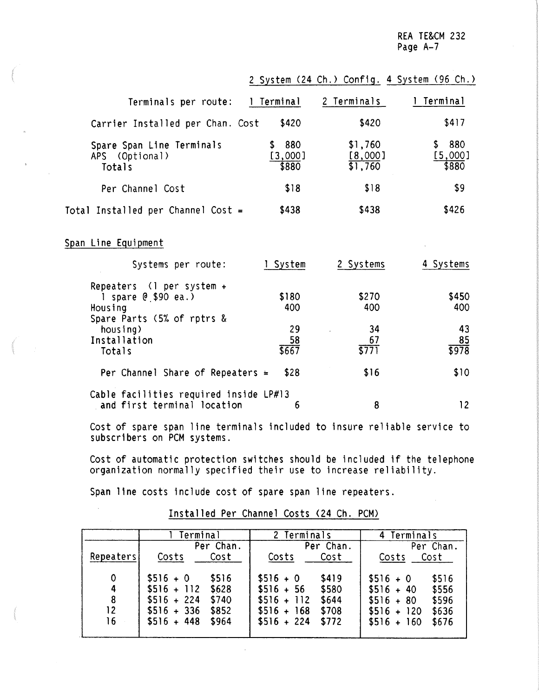> 43 85 \$978

> > \$10

12

2 System (24 Ch.) Config. 4 System (96 Ch.)

34 67 \$771

\$16

8

| Terminals per route:                                             | l Terminal                | 2 Terminals                              | Terminal                       |
|------------------------------------------------------------------|---------------------------|------------------------------------------|--------------------------------|
| Carrier Installed per Chan. Cost                                 | \$420                     | \$420                                    | \$417                          |
| Spare Span Line Terminals<br>APS (Optional)<br>Totals            | \$880<br>[3,000]<br>\$880 | \$1,760<br>[8,000]<br>$\overline{1,760}$ | 880<br>\$.<br>[5,000]<br>\$880 |
| Per Channel Cost                                                 | \$18                      | \$18                                     | \$9                            |
| Total Installed per Channel Cost =                               | \$438                     | \$438                                    | \$426                          |
| Span Line Equipment                                              |                           |                                          |                                |
| Systems per route:                                               | 1 System                  | 2 Systems                                | 4 Systems                      |
| Repeaters $(1$ per system +<br>1 spare $0,$ \$90 ea.)<br>Housing | \$180<br>400              | \$270<br>400                             | \$450<br>400                   |

Cost of spare span line terminals included to insure reliable service to subscribers on PCM systems.

29 58 \$667

Cost of automatic protection switches should be included if the telephone organization normally specified their use to increase reliability.

Span line costs include cost of spare span line repeaters.

Spare Parts (5% of rptrs &

Per Channel Share of Repeaters  $\approx$  \$28

Cable facilities required inside LP#13<br>and first terminal location 6

and first terminal location

housing) Installation Totals

|                                    | <b>Terminal</b>                                                                                                         | 2 Terminals                                                                                                            | 4 Terminals                                                                                                           |  |
|------------------------------------|-------------------------------------------------------------------------------------------------------------------------|------------------------------------------------------------------------------------------------------------------------|-----------------------------------------------------------------------------------------------------------------------|--|
|                                    | Per Chan.                                                                                                               | Per Chan.                                                                                                              | Per Chan.                                                                                                             |  |
| Repeaters                          | Costs<br>Cost                                                                                                           | Costs<br>Cost                                                                                                          | Costs<br>Cost                                                                                                         |  |
| $\mathbf 0$<br>4<br>8<br>12.<br>16 | $$516 + 0$<br>\$516<br>$$516 + 112$<br>\$628<br>$$516 + 224$<br>\$740<br>$$516 + 336$<br>\$852<br>$$516 + 448$<br>\$964 | \$419<br>$$516 + 0$<br>$$516 + 56$<br>\$580<br>$$516 + 112$<br>\$644<br>\$708<br>$$516 + 168$<br>$$516 + 224$<br>\$772 | \$516<br>$$516 + 0$<br>\$556<br>$$516 + 40$<br>\$596<br>$$516 + 80$<br>$$516 + 120$<br>\$636<br>$$516 + 160$<br>\$676 |  |

Installed Per Channel Costs (24 Ch. PCM)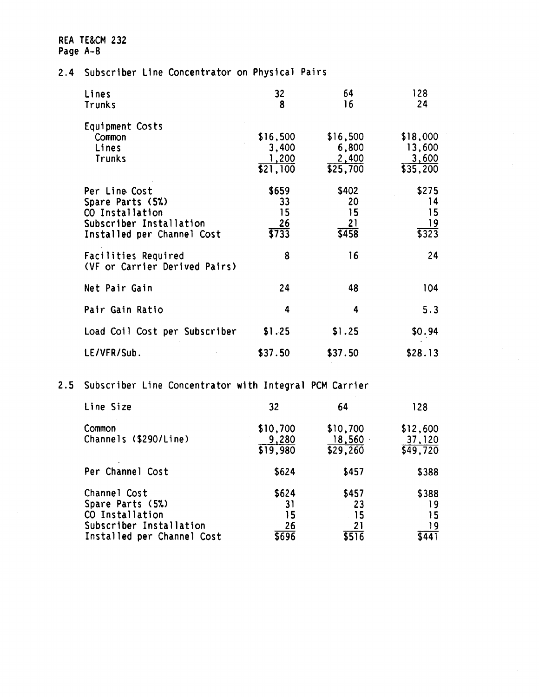## 2.4 Subscriber Line Concentrator on Physical Pairs

| Lines<br><b>Trunks</b>                                                                                        | 32<br>8                                | 64<br>16                               | 128<br>24                               |
|---------------------------------------------------------------------------------------------------------------|----------------------------------------|----------------------------------------|-----------------------------------------|
| Equipment Costs<br>Common<br>Lines<br><b>Trunks</b>                                                           | \$16,500<br>3,400<br>1,200<br>\$21,100 | \$16,500<br>6,800<br>2,400<br>\$25,700 | \$18,000<br>13,600<br>3,600<br>\$35,200 |
| Per Line Cost<br>Spare Parts (5%)<br>CO Installation<br>Subscriber Installation<br>Installed per Channel Cost | \$659<br>33<br>15<br>26<br>5733        | \$402<br>20<br>15<br>21<br>5458        | \$275<br>14<br>15<br>19<br>5323         |
| Facilities Required<br>(VF or Carrier Derived Pairs)                                                          | 8                                      | 16                                     | 24                                      |
| Net Pair Gain                                                                                                 | 24                                     | 48                                     | 104                                     |
| Pair Gain Ratio                                                                                               | 4                                      | 4                                      | 5.3                                     |
| Load Coil Cost per Subscriber                                                                                 | \$1.25                                 | \$1.25                                 | \$0.94                                  |
| LE/VFR/Sub.                                                                                                   | \$37.50                                | \$37.50                                | \$28.13                                 |

2.5 Subscriber Line Concentrator with Integral PCM Carrier

| Line Size                                                                                                    | 32                               | 64                               | 128                             |
|--------------------------------------------------------------------------------------------------------------|----------------------------------|----------------------------------|---------------------------------|
| Common<br>Channels (\$290/Line)                                                                              | \$10,700<br>9,280<br>\$19,980    | \$10,700<br>18,560<br>\$29,260   | \$12,600<br>37,120<br>\$49,720  |
| Per Channel Cost                                                                                             | \$624                            | \$457                            | \$388                           |
| Channel Cost<br>Spare Parts (5%)<br>CO Installation<br>Subscriber Installation<br>Installed per Channel Cost | \$624<br>31<br>15<br>26<br>\$696 | \$457<br>23<br>15<br>21<br>\$516 | \$388<br>19<br>15<br>19<br>5441 |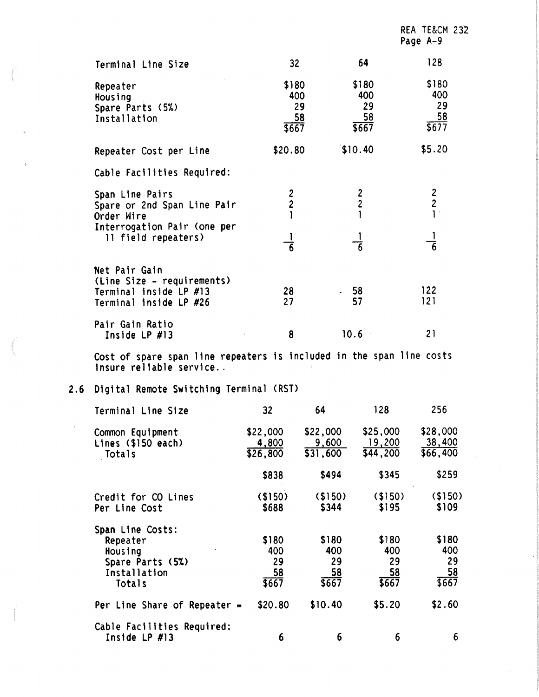|                                                                                                 |                                            |                                   | Page A-9                                    |
|-------------------------------------------------------------------------------------------------|--------------------------------------------|-----------------------------------|---------------------------------------------|
| Terminal Line Size                                                                              | 32 <sub>2</sub>                            | 64                                | 128                                         |
| Repeater<br>Housing<br>Spare Parts (5%)<br>Installation                                         | \$180<br>400<br>29<br>58<br>\$667          | \$180<br>400<br>29<br>58<br>\$667 | \$180<br>400<br>29<br>$rac{58}{1577}$       |
| Repeater Cost per Line                                                                          | \$20.80                                    | \$10.40                           | \$5.20                                      |
| Cable Facilities Required:                                                                      |                                            |                                   |                                             |
| Span Line Pairs<br>Spare or 2nd Span Line Pair<br>Order Wire                                    | $\begin{array}{c} 2 \\ 2 \\ 1 \end{array}$ | $\frac{2}{2}$                     | $\begin{bmatrix} 2 \\ 2 \\ 1 \end{bmatrix}$ |
| Interrogation Pair (one per<br>11 field repeaters)                                              | $\overline{6}$                             | $\overline{6}$                    | $\overline{6}$                              |
| Net Pair Gain<br>(Line Size - requirements)<br>Terminal inside LP #13<br>Terminal inside LP #26 | 28<br>27                                   | 58<br>57                          | 122<br>121                                  |
| Pair Gain Ratio<br>Inside LP #13                                                                | 8                                          | 10.6                              | 21                                          |

REA TE&CM 23'2

Cost of spare span line repeaters is included in the span line costs insure reliable service..

## **2.6** Digital Remote Switching Terminal CRST>

 $\bar{z}$ 

| Terminal Line Size                                                                    | 32                                   | 64                                | 128                               | 256                               |
|---------------------------------------------------------------------------------------|--------------------------------------|-----------------------------------|-----------------------------------|-----------------------------------|
| Common Equipment<br>Lines (\$150 each)<br>Totals                                      | \$22,000<br>4,800<br>$\sqrt{26,800}$ | \$22,000<br>9,600<br>\$31,600     | \$25,000<br>19,200<br>\$44,200    | \$28,000<br>38,400<br>\$66,400    |
|                                                                                       | \$838                                | \$494                             | \$345                             | \$259                             |
| Credit for CO Lines<br>Per Line Cost                                                  | (150)<br>\$688                       | (150)<br>\$344                    | (150)<br>\$195                    | $($ \$150)<br>\$109               |
| Span Line Costs:<br>Repeater<br>Housing<br>Spare Parts (5%)<br>Installation<br>Totals | \$180<br>400<br>29<br>58<br>\$667    | \$180<br>400<br>29<br>58<br>\$667 | \$180<br>400<br>29<br>58<br>\$667 | \$180<br>400<br>29<br>58<br>\$667 |
| Per Line Share of Repeater $=$                                                        | \$20.80                              | \$10.40                           | \$5.20                            | \$2.60                            |
| Cable Facilities Required:<br>Inside $LP$ #13                                         | 6                                    | 6                                 | 6                                 | 6                                 |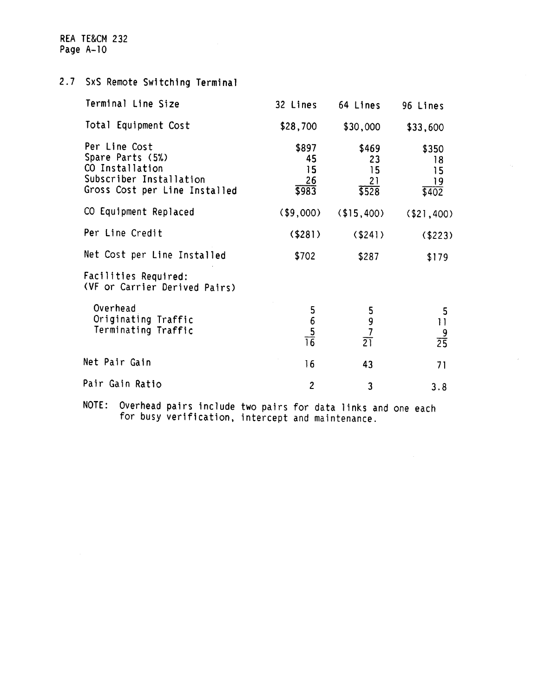2.7 SxS Remote Switching Terminal

| Terminal Line Size                                                                                               | 32 Lines                                                                 | 64 Lines                         | 96 Lines                            |
|------------------------------------------------------------------------------------------------------------------|--------------------------------------------------------------------------|----------------------------------|-------------------------------------|
| Total Equipment Cost                                                                                             | \$28,700                                                                 | \$30,000                         | \$33,600                            |
| Per Line Cost<br>Spare Parts (5%)<br>CO Installation<br>Subscriber Installation<br>Gross Cost per Line Installed | \$897<br>45<br>15<br>26<br>\$983                                         | \$469<br>23<br>15<br>21<br>\$528 | \$350<br>18<br>15<br>19<br>\$402    |
| CO Equipment Replaced                                                                                            | ( \$9,000)                                                               | (15, 400)                        | $($ \$21,400)                       |
| Per Line Credit                                                                                                  | $($ \$281 $)$                                                            | $($ \$241)                       | ( \$223)                            |
| Net Cost per Line Installed                                                                                      | \$702                                                                    | \$287                            | \$179                               |
| Facilities Required:<br>(VF or Carrier Derived Pairs)                                                            |                                                                          |                                  |                                     |
| Overhead<br>Originating Traffic<br>Terminating Traffic                                                           | $\begin{array}{r} 5 \\ 6 \\ \underline{5} \\ \underline{76} \end{array}$ | $\frac{5}{9}$<br>$rac{7}{21}$    | 5<br>$\mathbf{1}$<br>$\frac{9}{25}$ |
| Net Pair Gain                                                                                                    | 16                                                                       | 43                               | 71                                  |
| Pair Gain Ratio                                                                                                  | $\overline{2}$                                                           | 3                                | 3.8                                 |

NOTE: Overhead pairs include two pairs for data links and one each for busy verification, intercept and maintenance.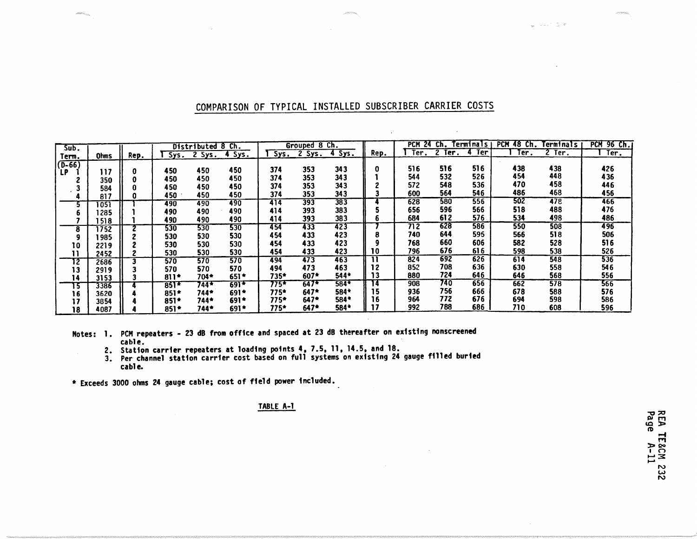| Sub.     |                  |      |        | Distributed 8 | Ch.    |      | Grouped 8 Ch. |               |      | <b>PCM</b><br>-24 | Ch.                  | Terminalsı | <b>PCM 48 Ch.</b> | Terminals        | <b>PCN</b><br>96 Ch. |
|----------|------------------|------|--------|---------------|--------|------|---------------|---------------|------|-------------------|----------------------|------------|-------------------|------------------|----------------------|
| Term.    | <b>Ohms</b>      | Rep. | Sys.   | $2$ Sys.      | 4 Sys. | Sys. |               | 2 Sys. 4 Sys. | Rep. | Ter.              | $\mathbf{2}$<br>Ter. | Ter        | Ter:              | Ter.             | Ter.                 |
| $(D-66)$ |                  |      |        |               |        |      |               |               |      |                   |                      |            |                   |                  |                      |
| LP       | 117              |      | 450    | 450           | 450    | 374  | 353           | 343           | o    | 516               | 516                  | 516        | 438               | 438              | 426                  |
|          | 350              |      | 450    | 450           | 450    | 374  | 353           | 343           |      | 544               | 532                  | 526        | 454               | 448              | 436                  |
|          | 584              |      | 450    | 450           | 450    | 374  | 353           | 343           |      | 572               | 548                  | 536        | 470               | 458              | 446                  |
|          | 817              |      | 450    | 450           | 450    | 374  | 353           | 343           |      | 600               | 564                  | 546        | 486               | 468              | 456                  |
|          | $\overline{051}$ |      | 490    | 490           | 490    | 414  | 393           | 383           |      | 628               | 580                  | 556        | 502               | 478              | 466                  |
|          | l 285            |      | 490    | 490           | 490    | 414  | 393           | 383           |      | 656               | 596                  | 566        | 518               | 488              | 476                  |
|          | 518              |      | 490    | 490           | 490    | 414  | 393           | 383           |      | 684               | 612                  | 576.       | 534               | 498              | 486                  |
| 8        | 752              |      | 530    | 530           | 530    | 454  | 433           | 423           |      | 712               | 628                  | 586        | 550               | 508              | 496                  |
|          | 985              |      | 530    | 530           | 530    | 454  | 433           | 423           | 8    | 740               | 644                  | 595        | 566               | 518              | 506                  |
| 10       | 2219             |      | 530    | 530           | 530    | 454  | 433           | 423           |      | 768               | 660                  | 606        | 582               | 528              | 516                  |
| 11       | 2452             |      | 530    | 530           | 530    | 454  | 433           | 423           | 10   | 796               | 676                  | 616        | 598               | 538              | 526                  |
| 12       | 2686             |      | 570    | 570           | 570    | 494  | 473           | 463           | n    | 824               | 692                  | 626        | 614               | 548              | 536                  |
| 13       | 2919             |      | 570    | 570           | 570    | 494  | 473           | 463           | 12   | 852               | 708                  | 636        | 630               | 558              | 546                  |
| 14       | 3153             |      | $811*$ | 704*          | $651*$ | 735* | $607*$        | $544*$        | 13   | 880               | 724                  | 646        | 646               | 568              | 556                  |
| 15       | 3386             |      | $851*$ | 744*          | $691*$ | 775* | $647*$        | 584*          | 14   | 908               | 740                  | 656        | 662               | $\overline{578}$ | 566                  |
| 16       | 3620             |      | $851*$ | 744*          | 691*   | 775* | $647*$        | 584*          | 15   | 936               | 756                  | 666        | 678               | 588              | 576                  |
| 17       | 3854             |      | 851*   | 744*          | $691*$ | 775* | $647*$        | 584*          |      | 964               | 772                  | 676        | 694               | 598              | 586                  |
| 18       | 4087             |      | $851*$ | 744*          | $691*$ | 775* | $647*$        | 584*          |      | 992               | 788                  | 686        | 710               | 608              | 596                  |

## COMPARISON OF TYPICAL INSTALLED SUBSCRIBER CARRIER COSTS

Notes: 1. PCM repeaters - 23 dB from office and spaced at 23 dB thereafter on existing nonscreened cable.

2. Station carrier repeaters at loading points 4, 7.5, 11, 14.5, and 18.<br>3. Per channel station carrier cost based on full systems on existing 24 gauge filled buried<br>cable.

• Exceeds 3000 ohms 24 gauge cable; cost of field power included.

#### TABLE A-1

REA TE&CM 232<br>Page A-11

Wood Co